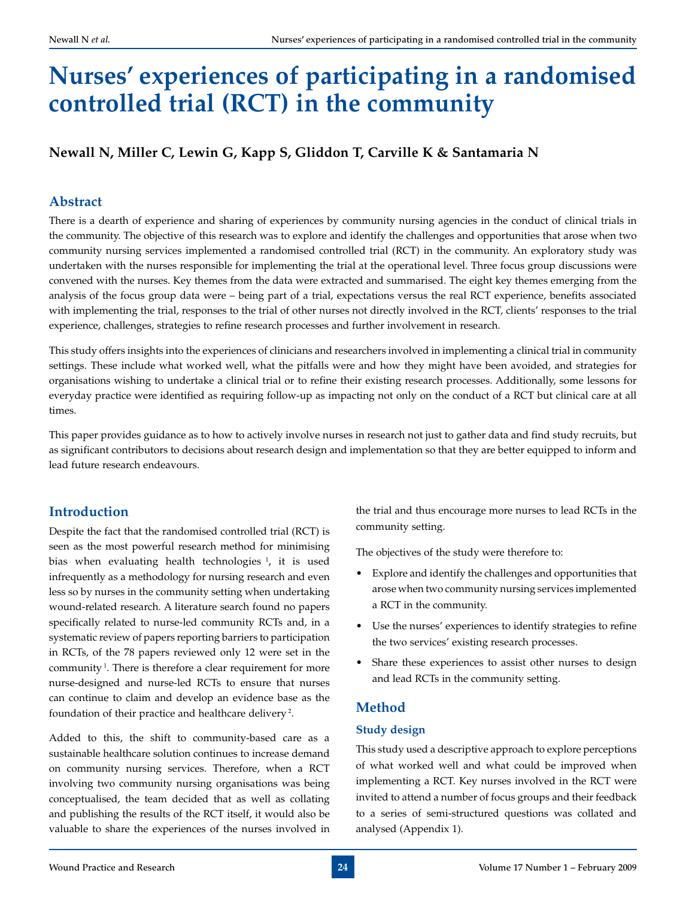# **Nurses' experiences of participating in a randomised controlled trial (RCT) in the community**

## **Newall N, Miller C, Lewin G, Kapp S, Gliddon T, Carville K & Santamaria N**

## **Abstract**

There is a dearth of experience and sharing of experiences by community nursing agencies in the conduct of clinical trials in the community. The objective of this research was to explore and identify the challenges and opportunities that arose when two community nursing services implemented a randomised controlled trial (RCT) in the community. An exploratory study was undertaken with the nurses responsible for implementing the trial at the operational level. Three focus group discussions were convened with the nurses. Key themes from the data were extracted and summarised. The eight key themes emerging from the analysis of the focus group data were – being part of a trial, expectations versus the real RCT experience, benefits associated with implementing the trial, responses to the trial of other nurses not directly involved in the RCT, clients' responses to the trial experience, challenges, strategies to refine research processes and further involvement in research.

This study offers insights into the experiences of clinicians and researchers involved in implementing a clinical trial in community settings. These include what worked well, what the pitfalls were and how they might have been avoided, and strategies for organisations wishing to undertake a clinical trial or to refine their existing research processes. Additionally, some lessons for everyday practice were identified as requiring follow-up as impacting not only on the conduct of a RCT but clinical care at all times.

This paper provides guidance as to how to actively involve nurses in research not just to gather data and find study recruits, but as significant contributors to decisions about research design and implementation so that they are better equipped to inform and lead future research endeavours.

## **Introduction**

Despite the fact that the randomised controlled trial (RCT) is seen as the most powerful research method for minimising bias when evaluating health technologies  $\frac{1}{1}$ , it is used infrequently as a methodology for nursing research and even less so by nurses in the community setting when undertaking wound-related research. A literature search found no papers specifically related to nurse-led community RCTs and, in a systematic review of papers reporting barriers to participation in RCTs, of the 78 papers reviewed only 12 were set in the community<sup>1</sup>. There is therefore a clear requirement for more nurse-designed and nurse-led RCTs to ensure that nurses can continue to claim and develop an evidence base as the foundation of their practice and healthcare delivery 2.

Added to this, the shift to community-based care as a sustainable healthcare solution continues to increase demand on community nursing services. Therefore, when a RCT involving two community nursing organisations was being conceptualised, the team decided that as well as collating and publishing the results of the RCT itself, it would also be valuable to share the experiences of the nurses involved in

the trial and thus encourage more nurses to lead RCTs in the community setting.

The objectives of the study were therefore to:

- • Explore and identify the challenges and opportunities that arose when two community nursing services implemented a RCT in the community.
- • Use the nurses' experiences to identify strategies to refine the two services' existing research processes.
- Share these experiences to assist other nurses to design and lead RCTs in the community setting.

## **Method**

### **Study design**

This study used a descriptive approach to explore perceptions of what worked well and what could be improved when implementing a RCT. Key nurses involved in the RCT were invited to attend a number of focus groups and their feedback to a series of semi-structured questions was collated and analysed (Appendix 1).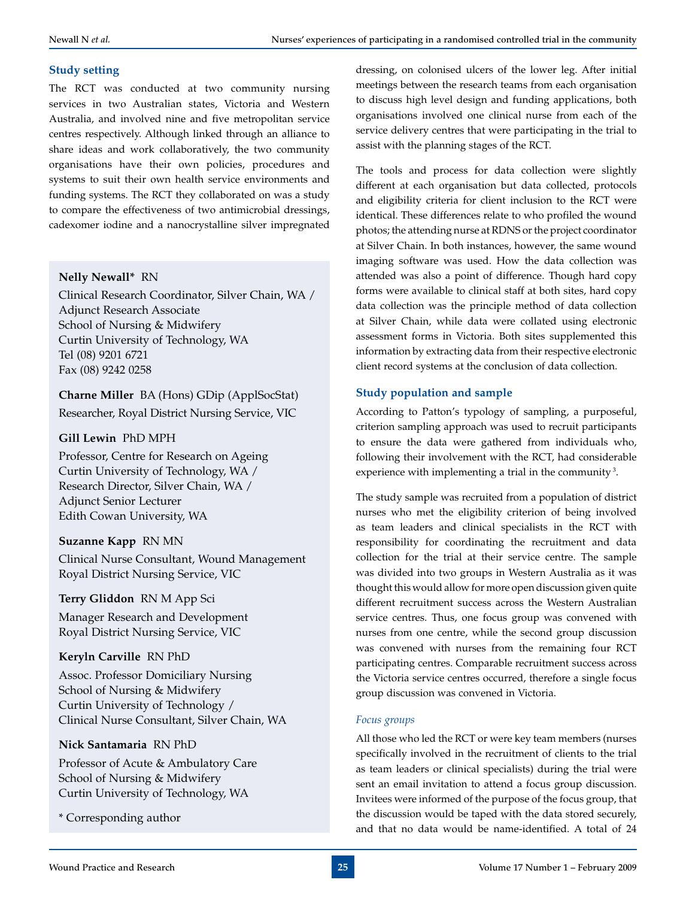## **Study setting**

The RCT was conducted at two community nursing services in two Australian states, Victoria and Western Australia, and involved nine and five metropolitan service centres respectively. Although linked through an alliance to share ideas and work collaboratively, the two community organisations have their own policies, procedures and systems to suit their own health service environments and funding systems. The RCT they collaborated on was a study to compare the effectiveness of two antimicrobial dressings, cadexomer iodine and a nanocrystalline silver impregnated

## **Nelly Newall\*** RN

Clinical Research Coordinator, Silver Chain, WA / Adjunct Research Associate School of Nursing & Midwifery Curtin University of Technology, WA Tel (08) 9201 6721 Fax (08) 9242 0258

**Charne Miller** BA (Hons) GDip (ApplSocStat) Researcher, Royal District Nursing Service, VIC

## **Gill Lewin** PhD MPH

Professor, Centre for Research on Ageing Curtin University of Technology, WA / Research Director, Silver Chain, WA / Adjunct Senior Lecturer Edith Cowan University, WA

### **Suzanne Kapp** RN MN

Clinical Nurse Consultant, Wound Management Royal District Nursing Service, VIC

### **Terry Gliddon** RN M App Sci

Manager Research and Development Royal District Nursing Service, VIC

## **Keryln Carville** RN PhD

Assoc. Professor Domiciliary Nursing School of Nursing & Midwifery Curtin University of Technology / Clinical Nurse Consultant, Silver Chain, WA

## **Nick Santamaria** RN PhD

Professor of Acute & Ambulatory Care School of Nursing & Midwifery Curtin University of Technology, WA

\* Corresponding author

dressing, on colonised ulcers of the lower leg. After initial meetings between the research teams from each organisation to discuss high level design and funding applications, both organisations involved one clinical nurse from each of the service delivery centres that were participating in the trial to assist with the planning stages of the RCT.

The tools and process for data collection were slightly different at each organisation but data collected, protocols and eligibility criteria for client inclusion to the RCT were identical. These differences relate to who profiled the wound photos; the attending nurse at RDNS or the project coordinator at Silver Chain. In both instances, however, the same wound imaging software was used. How the data collection was attended was also a point of difference. Though hard copy forms were available to clinical staff at both sites, hard copy data collection was the principle method of data collection at Silver Chain, while data were collated using electronic assessment forms in Victoria. Both sites supplemented this information by extracting data from their respective electronic client record systems at the conclusion of data collection.

## **Study population and sample**

According to Patton's typology of sampling, a purposeful, criterion sampling approach was used to recruit participants to ensure the data were gathered from individuals who, following their involvement with the RCT, had considerable experience with implementing a trial in the community<sup>3</sup>.

The study sample was recruited from a population of district nurses who met the eligibility criterion of being involved as team leaders and clinical specialists in the RCT with responsibility for coordinating the recruitment and data collection for the trial at their service centre. The sample was divided into two groups in Western Australia as it was thought this would allow for more open discussion given quite different recruitment success across the Western Australian service centres. Thus, one focus group was convened with nurses from one centre, while the second group discussion was convened with nurses from the remaining four RCT participating centres. Comparable recruitment success across the Victoria service centres occurred, therefore a single focus group discussion was convened in Victoria.

### *Focus groups*

All those who led the RCT or were key team members (nurses specifically involved in the recruitment of clients to the trial as team leaders or clinical specialists) during the trial were sent an email invitation to attend a focus group discussion. Invitees were informed of the purpose of the focus group, that the discussion would be taped with the data stored securely, and that no data would be name-identified. A total of 24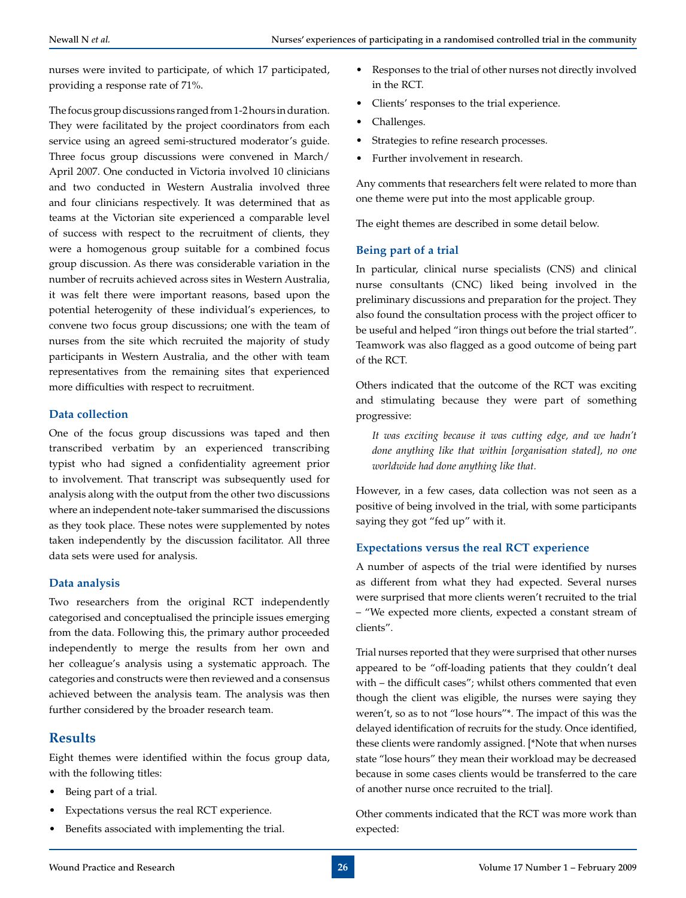nurses were invited to participate, of which 17 participated, providing a response rate of 71%.

The focus group discussions ranged from 1-2 hours in duration. They were facilitated by the project coordinators from each service using an agreed semi-structured moderator's guide. Three focus group discussions were convened in March/ April 2007. One conducted in Victoria involved 10 clinicians and two conducted in Western Australia involved three and four clinicians respectively. It was determined that as teams at the Victorian site experienced a comparable level of success with respect to the recruitment of clients, they were a homogenous group suitable for a combined focus group discussion. As there was considerable variation in the number of recruits achieved across sites in Western Australia, it was felt there were important reasons, based upon the potential heterogenity of these individual's experiences, to convene two focus group discussions; one with the team of nurses from the site which recruited the majority of study participants in Western Australia, and the other with team representatives from the remaining sites that experienced more difficulties with respect to recruitment.

#### **Data collection**

One of the focus group discussions was taped and then transcribed verbatim by an experienced transcribing typist who had signed a confidentiality agreement prior to involvement. That transcript was subsequently used for analysis along with the output from the other two discussions where an independent note-taker summarised the discussions as they took place. These notes were supplemented by notes taken independently by the discussion facilitator. All three data sets were used for analysis.

### **Data analysis**

Two researchers from the original RCT independently categorised and conceptualised the principle issues emerging from the data. Following this, the primary author proceeded independently to merge the results from her own and her colleague's analysis using a systematic approach. The categories and constructs were then reviewed and a consensus achieved between the analysis team. The analysis was then further considered by the broader research team.

## **Results**

Eight themes were identified within the focus group data, with the following titles:

- Being part of a trial.
- • Expectations versus the real RCT experience.
- Benefits associated with implementing the trial.
- Responses to the trial of other nurses not directly involved in the RCT.
- • Clients' responses to the trial experience.
- Challenges.
- Strategies to refine research processes.
- Further involvement in research.

Any comments that researchers felt were related to more than one theme were put into the most applicable group.

The eight themes are described in some detail below.

### **Being part of a trial**

In particular, clinical nurse specialists (CNS) and clinical nurse consultants (CNC) liked being involved in the preliminary discussions and preparation for the project. They also found the consultation process with the project officer to be useful and helped "iron things out before the trial started". Teamwork was also flagged as a good outcome of being part of the RCT.

Others indicated that the outcome of the RCT was exciting and stimulating because they were part of something progressive:

*It was exciting because it was cutting edge, and we hadn't done anything like that within [organisation stated], no one worldwide had done anything like that.*

However, in a few cases, data collection was not seen as a positive of being involved in the trial, with some participants saying they got "fed up" with it.

### **Expectations versus the real RCT experience**

A number of aspects of the trial were identified by nurses as different from what they had expected. Several nurses were surprised that more clients weren't recruited to the trial – "We expected more clients, expected a constant stream of clients".

Trial nurses reported that they were surprised that other nurses appeared to be "off-loading patients that they couldn't deal with – the difficult cases"; whilst others commented that even though the client was eligible, the nurses were saying they weren't, so as to not "lose hours"\*. The impact of this was the delayed identification of recruits for the study. Once identified, these clients were randomly assigned. [\*Note that when nurses state "lose hours" they mean their workload may be decreased because in some cases clients would be transferred to the care of another nurse once recruited to the trial].

Other comments indicated that the RCT was more work than expected: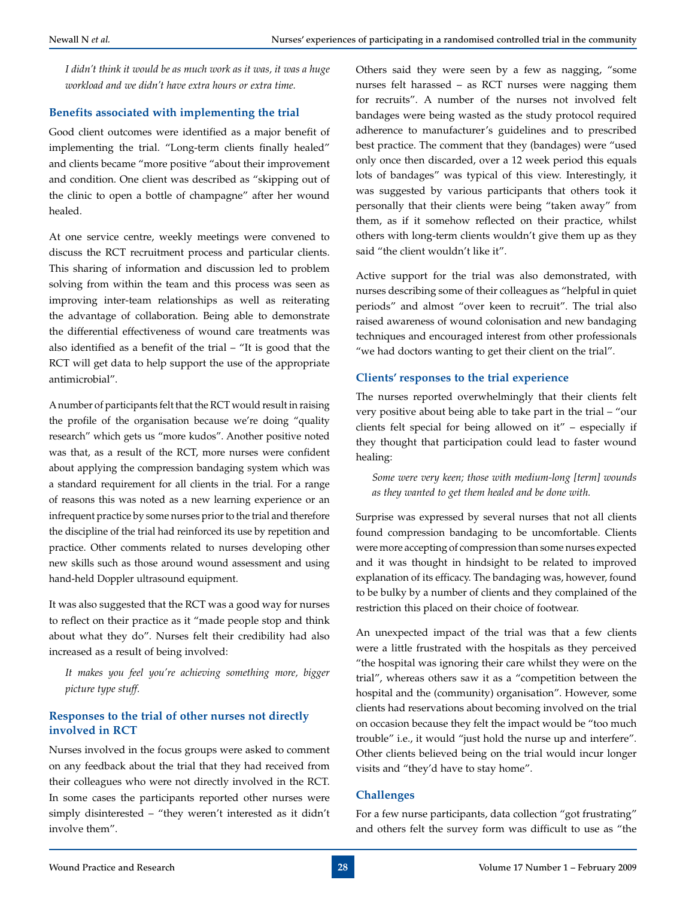*I didn't think it would be as much work as it was, it was a huge workload and we didn't have extra hours or extra time.*

#### **Benefits associated with implementing the trial**

Good client outcomes were identified as a major benefit of implementing the trial. "Long-term clients finally healed" and clients became "more positive "about their improvement and condition. One client was described as "skipping out of the clinic to open a bottle of champagne" after her wound healed.

At one service centre, weekly meetings were convened to discuss the RCT recruitment process and particular clients. This sharing of information and discussion led to problem solving from within the team and this process was seen as improving inter-team relationships as well as reiterating the advantage of collaboration. Being able to demonstrate the differential effectiveness of wound care treatments was also identified as a benefit of the trial – "It is good that the RCT will get data to help support the use of the appropriate antimicrobial".

A number of participants felt that the RCT would result in raising the profile of the organisation because we're doing "quality research" which gets us "more kudos". Another positive noted was that, as a result of the RCT, more nurses were confident about applying the compression bandaging system which was a standard requirement for all clients in the trial. For a range of reasons this was noted as a new learning experience or an infrequent practice by some nurses prior to the trial and therefore the discipline of the trial had reinforced its use by repetition and practice. Other comments related to nurses developing other new skills such as those around wound assessment and using hand-held Doppler ultrasound equipment.

It was also suggested that the RCT was a good way for nurses to reflect on their practice as it "made people stop and think about what they do". Nurses felt their credibility had also increased as a result of being involved:

*It makes you feel you're achieving something more, bigger picture type stuff.*

### **Responses to the trial of other nurses not directly involved in RCT**

Nurses involved in the focus groups were asked to comment on any feedback about the trial that they had received from their colleagues who were not directly involved in the RCT. In some cases the participants reported other nurses were simply disinterested – "they weren't interested as it didn't involve them".

Others said they were seen by a few as nagging, "some nurses felt harassed – as RCT nurses were nagging them for recruits". A number of the nurses not involved felt bandages were being wasted as the study protocol required adherence to manufacturer's guidelines and to prescribed best practice. The comment that they (bandages) were "used only once then discarded, over a 12 week period this equals lots of bandages" was typical of this view. Interestingly, it was suggested by various participants that others took it personally that their clients were being "taken away" from them, as if it somehow reflected on their practice, whilst others with long-term clients wouldn't give them up as they said "the client wouldn't like it".

Active support for the trial was also demonstrated, with nurses describing some of their colleagues as "helpful in quiet periods" and almost "over keen to recruit". The trial also raised awareness of wound colonisation and new bandaging techniques and encouraged interest from other professionals "we had doctors wanting to get their client on the trial".

#### **Clients' responses to the trial experience**

The nurses reported overwhelmingly that their clients felt very positive about being able to take part in the trial – "our clients felt special for being allowed on it" – especially if they thought that participation could lead to faster wound healing:

*Some were very keen; those with medium-long [term] wounds as they wanted to get them healed and be done with.*

Surprise was expressed by several nurses that not all clients found compression bandaging to be uncomfortable. Clients were more accepting of compression than some nurses expected and it was thought in hindsight to be related to improved explanation of its efficacy. The bandaging was, however, found to be bulky by a number of clients and they complained of the restriction this placed on their choice of footwear.

An unexpected impact of the trial was that a few clients were a little frustrated with the hospitals as they perceived "the hospital was ignoring their care whilst they were on the trial", whereas others saw it as a "competition between the hospital and the (community) organisation". However, some clients had reservations about becoming involved on the trial on occasion because they felt the impact would be "too much trouble" i.e., it would "just hold the nurse up and interfere". Other clients believed being on the trial would incur longer visits and "they'd have to stay home".

### **Challenges**

For a few nurse participants, data collection "got frustrating" and others felt the survey form was difficult to use as "the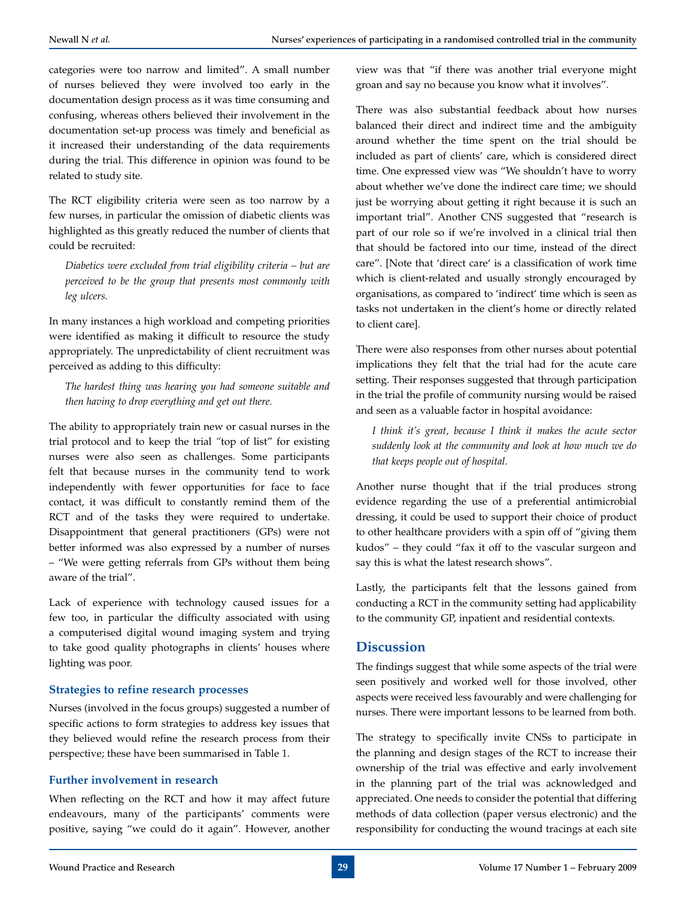categories were too narrow and limited". A small number of nurses believed they were involved too early in the documentation design process as it was time consuming and confusing, whereas others believed their involvement in the documentation set-up process was timely and beneficial as it increased their understanding of the data requirements during the trial. This difference in opinion was found to be related to study site.

The RCT eligibility criteria were seen as too narrow by a few nurses, in particular the omission of diabetic clients was highlighted as this greatly reduced the number of clients that could be recruited:

*Diabetics were excluded from trial eligibility criteria – but are perceived to be the group that presents most commonly with leg ulcers.*

In many instances a high workload and competing priorities were identified as making it difficult to resource the study appropriately. The unpredictability of client recruitment was perceived as adding to this difficulty:

*The hardest thing was hearing you had someone suitable and then having to drop everything and get out there.*

The ability to appropriately train new or casual nurses in the trial protocol and to keep the trial *"*top of list" for existing nurses were also seen as challenges. Some participants felt that because nurses in the community tend to work independently with fewer opportunities for face to face contact, it was difficult to constantly remind them of the RCT and of the tasks they were required to undertake. Disappointment that general practitioners (GPs) were not better informed was also expressed by a number of nurses – "We were getting referrals from GPs without them being aware of the trial".

Lack of experience with technology caused issues for a few too, in particular the difficulty associated with using a computerised digital wound imaging system and trying to take good quality photographs in clients' houses where lighting was poor.

#### **Strategies to refine research processes**

Nurses (involved in the focus groups) suggested a number of specific actions to form strategies to address key issues that they believed would refine the research process from their perspective; these have been summarised in Table 1.

#### **Further involvement in research**

When reflecting on the RCT and how it may affect future endeavours, many of the participants' comments were positive, saying "we could do it again". However, another

view was that "if there was another trial everyone might groan and say no because you know what it involves".

There was also substantial feedback about how nurses balanced their direct and indirect time and the ambiguity around whether the time spent on the trial should be included as part of clients' care, which is considered direct time. One expressed view was "We shouldn't have to worry about whether we've done the indirect care time; we should just be worrying about getting it right because it is such an important trial". Another CNS suggested that "research is part of our role so if we're involved in a clinical trial then that should be factored into our time, instead of the direct care". [Note that 'direct care' is a classification of work time which is client-related and usually strongly encouraged by organisations, as compared to 'indirect' time which is seen as tasks not undertaken in the client's home or directly related to client care].

There were also responses from other nurses about potential implications they felt that the trial had for the acute care setting. Their responses suggested that through participation in the trial the profile of community nursing would be raised and seen as a valuable factor in hospital avoidance:

*I think it's great, because I think it makes the acute sector suddenly look at the community and look at how much we do that keeps people out of hospital.*

Another nurse thought that if the trial produces strong evidence regarding the use of a preferential antimicrobial dressing, it could be used to support their choice of product to other healthcare providers with a spin off of "giving them kudos" – they could "fax it off to the vascular surgeon and say this is what the latest research shows".

Lastly, the participants felt that the lessons gained from conducting a RCT in the community setting had applicability to the community GP, inpatient and residential contexts.

## **Discussion**

The findings suggest that while some aspects of the trial were seen positively and worked well for those involved, other aspects were received less favourably and were challenging for nurses. There were important lessons to be learned from both.

The strategy to specifically invite CNSs to participate in the planning and design stages of the RCT to increase their ownership of the trial was effective and early involvement in the planning part of the trial was acknowledged and appreciated. One needs to consider the potential that differing methods of data collection (paper versus electronic) and the responsibility for conducting the wound tracings at each site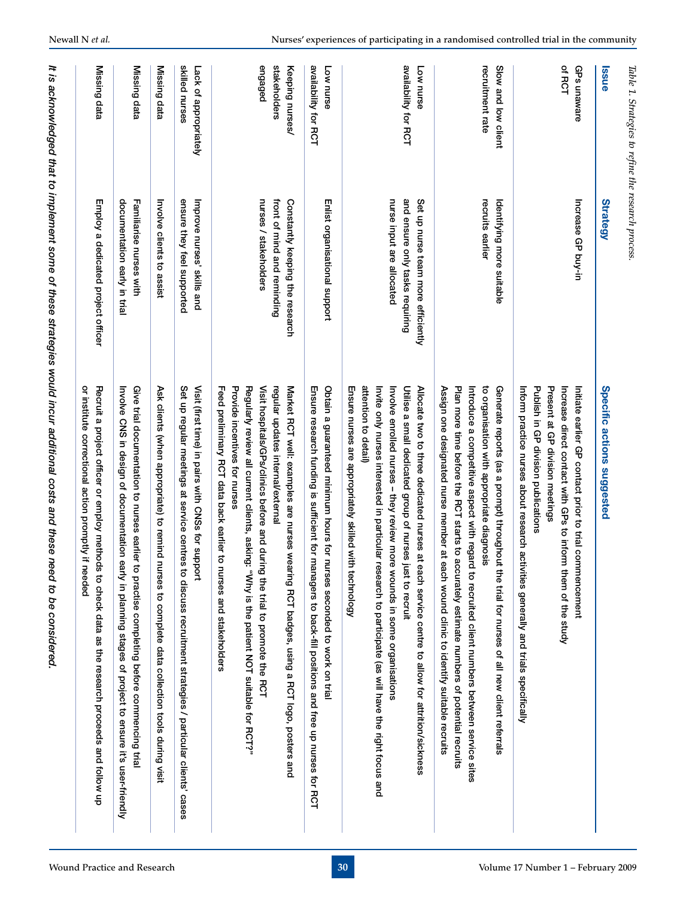| <b>Issue</b>                               | <b>Strategy</b>                                                                                    | Specific actions suggested                                                                                                                                                                                                                                                                                                                                                                                                         |
|--------------------------------------------|----------------------------------------------------------------------------------------------------|------------------------------------------------------------------------------------------------------------------------------------------------------------------------------------------------------------------------------------------------------------------------------------------------------------------------------------------------------------------------------------------------------------------------------------|
| of RCT<br>GPs unaware                      | Increase GP buy-in                                                                                 | Publish in GP division publications<br>Present at GP division meetings<br>Inform practice nurses about research activities generally and trials specifically<br>Initiate earlier GP contact prior to trial commencement<br>Increase direct contact with GPs to inform them of the study                                                                                                                                            |
| recruitment rate<br>Slow and low client    | recruits earlier<br>Identifying more<br>suitable                                                   | Assign one designated nurse member at each wound clinic to identify suitable recruits<br>Introduce a competitive aspect with regard to recruited client numbers between service sites<br>Plan more time before the RCT starts to accurately estimate numbers of potential recruits<br>to organisation with appropriate diagnosis<br>Generate reports (as a prompt) throughout t<br>he trial for nurses of all new client referrals |
| availability for RCT<br>Low nurse          | nurse input are allocated<br>and ensure only tasks requiring<br>Set up nurse team more efficiently | attention to detail)<br>Ensure nurses are appropriately skilled with technology<br>Invite only nurses interested in particular research to participate (as will have the right focus and<br>Allocate two to three dedicated nurses at each service centre to allow for attrition/sickness<br>Utilise a small dedicated group of nurses just to recruit<br>Involve enrolled nurses - they review more wounds in some organisations  |
| availability for RCT<br>Low nurse          | Enlist organisational support                                                                      | Obtain a guaranteed minimum hours for nurses seconded to work on trial<br>Ensure research funding is sufficient for managers to back-fill positions and free up nurses for RCT                                                                                                                                                                                                                                                     |
| stakeholders<br>engaged<br>Keeping nurses/ | nurses / stakeholders<br>front of mind and reminding<br>Constantly keeping the research            | Visit hospitals/GPs/clinics before and during the trial to promote the RCT<br>Feed preliminary RCT data back earlier to nurses and stakeholders<br>Provide incentives for nurses<br>Regularly review all current clients, asking: "Why is the patient NOT suitable for RCT?"<br>regular updates internal/external<br>Market RCT well: examples are nurses wearing RCT badges, using a RCT logo, posters and                        |
| skilled nurses<br>Lack of appropriately    | ensure they feel supported<br>Improve nurses' skills and                                           | Set up regular meetings at service centres to discuss recruitment strategies / particular clients' cases<br>Visit (first time) in pairs with CNSs for support                                                                                                                                                                                                                                                                      |
| Missing data                               | Involve clients to assist                                                                          | Ask clients (when appropriate) to remind nurses to complete data collection tools during visit                                                                                                                                                                                                                                                                                                                                     |
| Missing data                               | documentation early in trial<br>Familiarise nurses with                                            | Give trial documentation to nurses earlier to<br>Involve CNS in design of documentation early in planning stages of project to ensure it's user-friendly<br>practise completing before commencing trial                                                                                                                                                                                                                            |
| Missing data                               | Employ a dedicated project officer                                                                 | ٩<br>Recruit a project officer or employ methods<br>institute correctional action promptly if needed<br>to check data as the research proceeds and follow up                                                                                                                                                                                                                                                                       |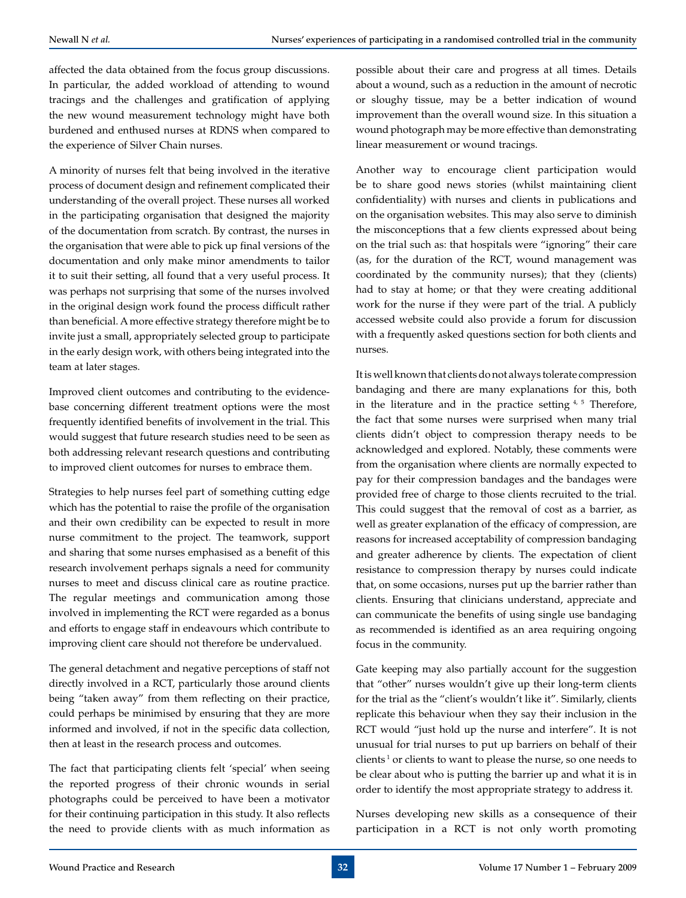affected the data obtained from the focus group discussions. In particular, the added workload of attending to wound tracings and the challenges and gratification of applying the new wound measurement technology might have both burdened and enthused nurses at RDNS when compared to the experience of Silver Chain nurses.

A minority of nurses felt that being involved in the iterative process of document design and refinement complicated their understanding of the overall project. These nurses all worked in the participating organisation that designed the majority of the documentation from scratch. By contrast, the nurses in the organisation that were able to pick up final versions of the documentation and only make minor amendments to tailor it to suit their setting, all found that a very useful process. It was perhaps not surprising that some of the nurses involved in the original design work found the process difficult rather than beneficial. A more effective strategy therefore might be to invite just a small, appropriately selected group to participate in the early design work, with others being integrated into the team at later stages.

Improved client outcomes and contributing to the evidencebase concerning different treatment options were the most frequently identified benefits of involvement in the trial. This would suggest that future research studies need to be seen as both addressing relevant research questions and contributing to improved client outcomes for nurses to embrace them.

Strategies to help nurses feel part of something cutting edge which has the potential to raise the profile of the organisation and their own credibility can be expected to result in more nurse commitment to the project. The teamwork, support and sharing that some nurses emphasised as a benefit of this research involvement perhaps signals a need for community nurses to meet and discuss clinical care as routine practice. The regular meetings and communication among those involved in implementing the RCT were regarded as a bonus and efforts to engage staff in endeavours which contribute to improving client care should not therefore be undervalued.

The general detachment and negative perceptions of staff not directly involved in a RCT, particularly those around clients being "taken away" from them reflecting on their practice, could perhaps be minimised by ensuring that they are more informed and involved, if not in the specific data collection, then at least in the research process and outcomes.

The fact that participating clients felt 'special' when seeing the reported progress of their chronic wounds in serial photographs could be perceived to have been a motivator for their continuing participation in this study. It also reflects the need to provide clients with as much information as

possible about their care and progress at all times. Details about a wound, such as a reduction in the amount of necrotic or sloughy tissue, may be a better indication of wound improvement than the overall wound size. In this situation a wound photograph may be more effective than demonstrating linear measurement or wound tracings.

Another way to encourage client participation would be to share good news stories (whilst maintaining client confidentiality) with nurses and clients in publications and on the organisation websites. This may also serve to diminish the misconceptions that a few clients expressed about being on the trial such as: that hospitals were "ignoring" their care (as, for the duration of the RCT, wound management was coordinated by the community nurses); that they (clients) had to stay at home; or that they were creating additional work for the nurse if they were part of the trial. A publicly accessed website could also provide a forum for discussion with a frequently asked questions section for both clients and nurses.

It is well known that clients do not always tolerate compression bandaging and there are many explanations for this, both in the literature and in the practice setting  $4, 5$  Therefore, the fact that some nurses were surprised when many trial clients didn't object to compression therapy needs to be acknowledged and explored. Notably, these comments were from the organisation where clients are normally expected to pay for their compression bandages and the bandages were provided free of charge to those clients recruited to the trial. This could suggest that the removal of cost as a barrier, as well as greater explanation of the efficacy of compression, are reasons for increased acceptability of compression bandaging and greater adherence by clients. The expectation of client resistance to compression therapy by nurses could indicate that, on some occasions, nurses put up the barrier rather than clients. Ensuring that clinicians understand, appreciate and can communicate the benefits of using single use bandaging as recommended is identified as an area requiring ongoing focus in the community.

Gate keeping may also partially account for the suggestion that "other" nurses wouldn't give up their long-term clients for the trial as the "client's wouldn't like it". Similarly, clients replicate this behaviour when they say their inclusion in the RCT would "just hold up the nurse and interfere". It is not unusual for trial nurses to put up barriers on behalf of their clients<sup> $1$ </sup> or clients to want to please the nurse, so one needs to be clear about who is putting the barrier up and what it is in order to identify the most appropriate strategy to address it.

Nurses developing new skills as a consequence of their participation in a RCT is not only worth promoting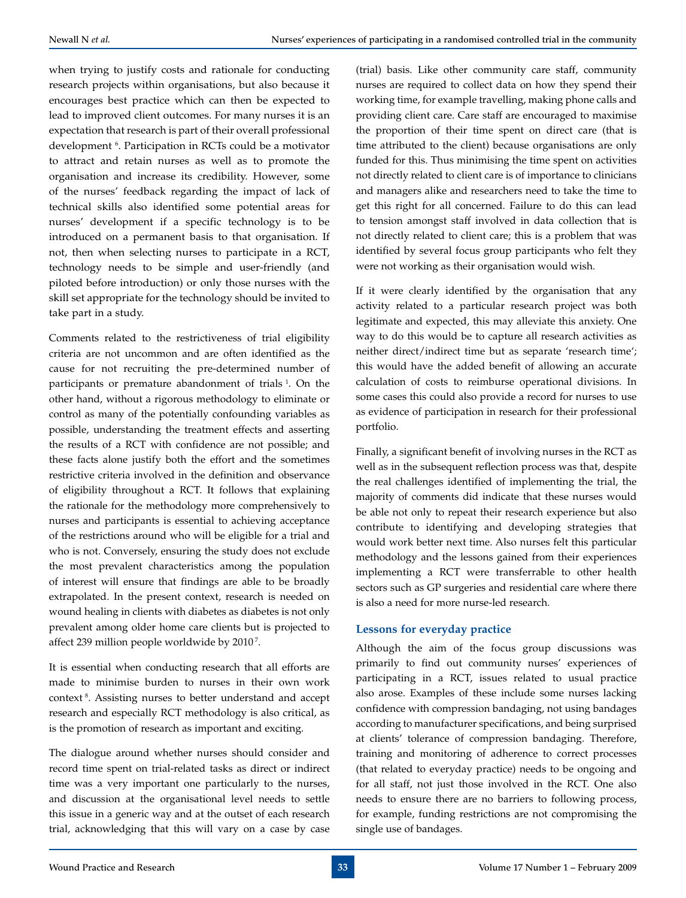when trying to justify costs and rationale for conducting research projects within organisations, but also because it encourages best practice which can then be expected to lead to improved client outcomes. For many nurses it is an expectation that research is part of their overall professional development 6 . Participation in RCTs could be a motivator to attract and retain nurses as well as to promote the organisation and increase its credibility. However, some of the nurses' feedback regarding the impact of lack of technical skills also identified some potential areas for nurses' development if a specific technology is to be introduced on a permanent basis to that organisation. If not, then when selecting nurses to participate in a RCT, technology needs to be simple and user-friendly (and piloted before introduction) or only those nurses with the skill set appropriate for the technology should be invited to take part in a study.

Comments related to the restrictiveness of trial eligibility criteria are not uncommon and are often identified as the cause for not recruiting the pre-determined number of participants or premature abandonment of trials <sup>1</sup>. On the other hand, without a rigorous methodology to eliminate or control as many of the potentially confounding variables as possible, understanding the treatment effects and asserting the results of a RCT with confidence are not possible; and these facts alone justify both the effort and the sometimes restrictive criteria involved in the definition and observance of eligibility throughout a RCT. It follows that explaining the rationale for the methodology more comprehensively to nurses and participants is essential to achieving acceptance of the restrictions around who will be eligible for a trial and who is not. Conversely, ensuring the study does not exclude the most prevalent characteristics among the population of interest will ensure that findings are able to be broadly extrapolated. In the present context, research is needed on wound healing in clients with diabetes as diabetes is not only prevalent among older home care clients but is projected to affect 239 million people worldwide by 2010<sup>7</sup>.

It is essential when conducting research that all efforts are made to minimise burden to nurses in their own work context 8. Assisting nurses to better understand and accept research and especially RCT methodology is also critical, as is the promotion of research as important and exciting.

The dialogue around whether nurses should consider and record time spent on trial-related tasks as direct or indirect time was a very important one particularly to the nurses, and discussion at the organisational level needs to settle this issue in a generic way and at the outset of each research trial, acknowledging that this will vary on a case by case

(trial) basis. Like other community care staff, community nurses are required to collect data on how they spend their working time, for example travelling, making phone calls and providing client care. Care staff are encouraged to maximise the proportion of their time spent on direct care (that is time attributed to the client) because organisations are only funded for this. Thus minimising the time spent on activities not directly related to client care is of importance to clinicians and managers alike and researchers need to take the time to get this right for all concerned. Failure to do this can lead to tension amongst staff involved in data collection that is not directly related to client care; this is a problem that was identified by several focus group participants who felt they were not working as their organisation would wish.

If it were clearly identified by the organisation that any activity related to a particular research project was both legitimate and expected, this may alleviate this anxiety. One way to do this would be to capture all research activities as neither direct/indirect time but as separate 'research time'; this would have the added benefit of allowing an accurate calculation of costs to reimburse operational divisions. In some cases this could also provide a record for nurses to use as evidence of participation in research for their professional portfolio.

Finally, a significant benefit of involving nurses in the RCT as well as in the subsequent reflection process was that, despite the real challenges identified of implementing the trial, the majority of comments did indicate that these nurses would be able not only to repeat their research experience but also contribute to identifying and developing strategies that would work better next time. Also nurses felt this particular methodology and the lessons gained from their experiences implementing a RCT were transferrable to other health sectors such as GP surgeries and residential care where there is also a need for more nurse-led research.

#### **Lessons for everyday practice**

Although the aim of the focus group discussions was primarily to find out community nurses' experiences of participating in a RCT, issues related to usual practice also arose. Examples of these include some nurses lacking confidence with compression bandaging, not using bandages according to manufacturer specifications, and being surprised at clients' tolerance of compression bandaging. Therefore, training and monitoring of adherence to correct processes (that related to everyday practice) needs to be ongoing and for all staff, not just those involved in the RCT. One also needs to ensure there are no barriers to following process, for example, funding restrictions are not compromising the single use of bandages.